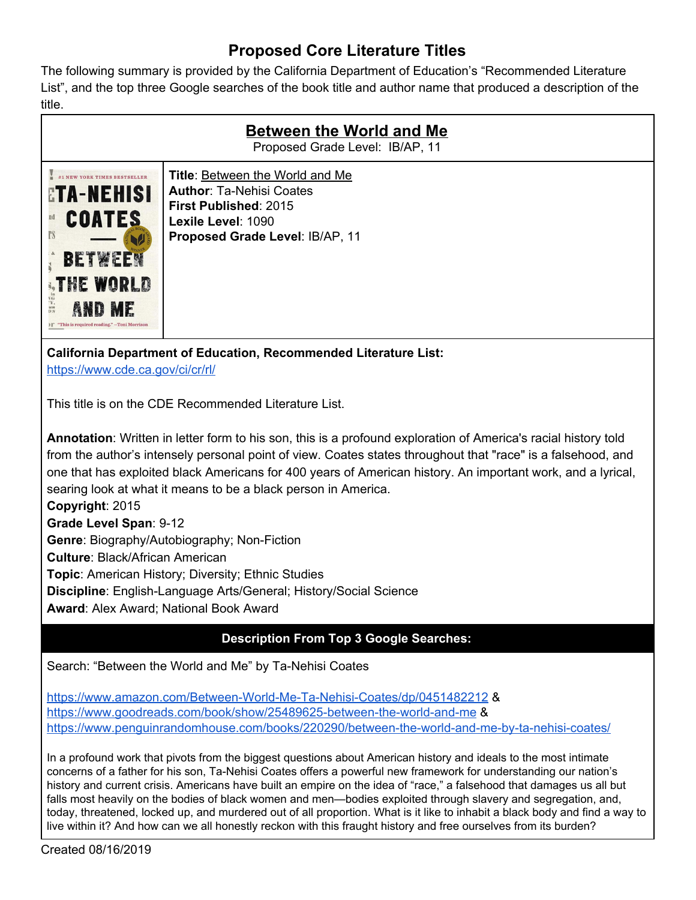## **Proposed Core Literature Titles**

The following summary is provided by the California Department of Education's "Recommended Literature List", and the top three Google searches of the book title and author name that produced a description of the title.

| <b>Between the World and Me</b><br>Proposed Grade Level: IB/AP, 11                                                                                                                             |                                                                                                                                                                    |
|------------------------------------------------------------------------------------------------------------------------------------------------------------------------------------------------|--------------------------------------------------------------------------------------------------------------------------------------------------------------------|
| NEW YORK TIMES BESTSELLER<br><b>ETA-NEHISI</b><br><b>COATES</b><br><b>TS</b><br><b>BETWEE</b><br><b>STHE WORLD</b><br>NG<br>"Y,<br>D.S<br>AND ME<br>"This is required reading." -Toni Morrison | <b>Title: Between the World and Me</b><br><b>Author: Ta-Nehisi Coates</b><br><b>First Published: 2015</b><br>Lexile Level: 1090<br>Proposed Grade Level: IB/AP, 11 |

**California Department of Education, Recommended Literature List:** <https://www.cde.ca.gov/ci/cr/rl/>

This title is on the CDE Recommended Literature List.

**Annotation**: Written in letter form to his son, this is a profound exploration of America's racial history told from the author's intensely personal point of view. Coates states throughout that "race" is a falsehood, and one that has exploited black Americans for 400 years of American history. An important work, and a lyrical, searing look at what it means to be a black person in America. **Copyright**: 2015 **Grade Level Span**: 9-12 **Genre**: Biography/Autobiography; Non-Fiction **Culture**: Black/African American

**Topic**: American History; Diversity; Ethnic Studies

**Discipline**: English-Language Arts/General; History/Social Science

**Award**: Alex Award; National Book Award

## **Description From Top 3 Google Searches:**

Search: "Between the World and Me" by Ta-Nehisi Coates

<https://www.amazon.com/Between-World-Me-Ta-Nehisi-Coates/dp/0451482212> & <https://www.goodreads.com/book/show/25489625-between-the-world-and-me> & <https://www.penguinrandomhouse.com/books/220290/between-the-world-and-me-by-ta-nehisi-coates/>

In a profound work that pivots from the biggest questions about American history and ideals to the most intimate concerns of a father for his son, Ta-Nehisi Coates offers a powerful new framework for understanding our nation's history and current crisis. Americans have built an empire on the idea of "race," a falsehood that damages us all but falls most heavily on the bodies of black women and men—bodies exploited through slavery and segregation, and, today, threatened, locked up, and murdered out of all proportion. What is it like to inhabit a black body and find a way to live within it? And how can we all honestly reckon with this fraught history and free ourselves from its burden?